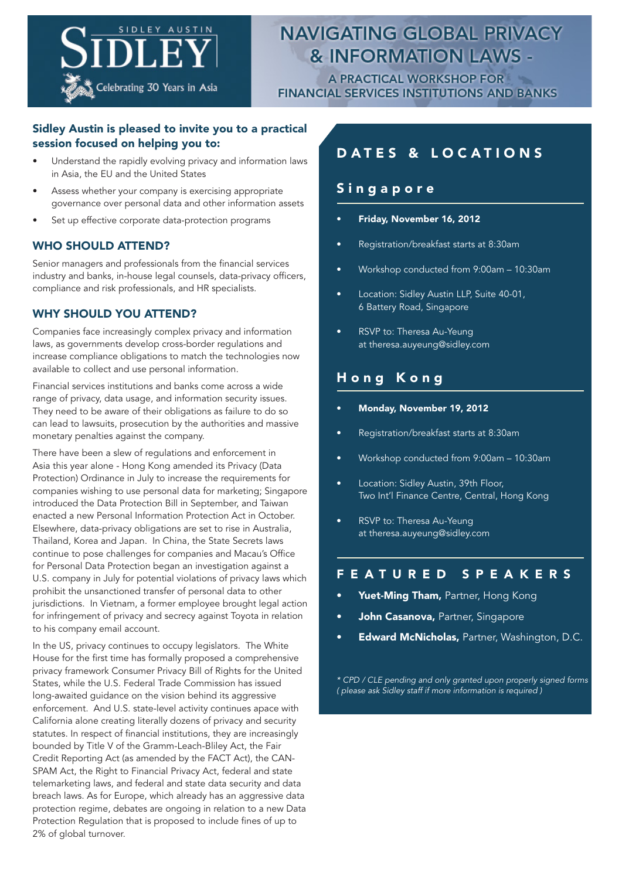

# **NAVIGATING GLOBAL PRIVACY & INFORMATION LAWS -**

**A PRACTICAL WORKSHOP FOR FINANCIAL SERVICES INSTITUTIONS AND BANKS** 

### Sidley Austin is pleased to invite you to a practical session focused on helping you to:

- Understand the rapidly evolving privacy and information laws in Asia, the EU and the United States
- Assess whether your company is exercising appropriate governance over personal data and other information assets
- Set up effective corporate data-protection programs

### WHO SHOULD ATTEND?

Senior managers and professionals from the financial services industry and banks, in-house legal counsels, data-privacy officers, compliance and risk professionals, and HR specialists.

### WHY SHOULD YOU ATTEND?

Companies face increasingly complex privacy and information laws, as governments develop cross-border regulations and increase compliance obligations to match the technologies now available to collect and use personal information.

Financial services institutions and banks come across a wide range of privacy, data usage, and information security issues. They need to be aware of their obligations as failure to do so can lead to lawsuits, prosecution by the authorities and massive monetary penalties against the company.

There have been a slew of regulations and enforcement in Asia this year alone - Hong Kong amended its Privacy (Data Protection) Ordinance in July to increase the requirements for companies wishing to use personal data for marketing; Singapore introduced the Data Protection Bill in September, and Taiwan enacted a new Personal Information Protection Act in October. Elsewhere, data-privacy obligations are set to rise in Australia, Thailand, Korea and Japan. In China, the State Secrets laws continue to pose challenges for companies and Macau's Office for Personal Data Protection began an investigation against a U.S. company in July for potential violations of privacy laws which prohibit the unsanctioned transfer of personal data to other jurisdictions. In Vietnam, a former employee brought legal action for infringement of privacy and secrecy against Toyota in relation to his company email account.

In the US, privacy continues to occupy legislators. The White House for the first time has formally proposed a comprehensive privacy framework Consumer Privacy Bill of Rights for the United States, while the U.S. Federal Trade Commission has issued long-awaited guidance on the vision behind its aggressive enforcement. And U.S. state-level activity continues apace with California alone creating literally dozens of privacy and security statutes. In respect of financial institutions, they are increasingly bounded by Title V of the Gramm-Leach-Bliley Act, the Fair Credit Reporting Act (as amended by the FACT Act), the CAN-SPAM Act, the Right to Financial Privacy Act, federal and state telemarketing laws, and federal and state data security and data breach laws. As for Europe, which already has an aggressive data protection regime, debates are ongoing in relation to a new Data Protection Regulation that is proposed to include fines of up to 2% of global turnover.

## DATES & LOCATIONS

### **Singapore**

- Friday, November 16, 2012
- Registration/breakfast starts at 8:30am
- Workshop conducted from 9:00am 10:30am
- Location: Sidley Austin LLP, Suite 40-01, 6 Battery Road, Singapore
- RSVP to: Theresa Au-Yeung at theresa.auyeung@sidley.com

### Hong Kong

- Monday, November 19, 2012
- Registration/breakfast starts at 8:30am
- Workshop conducted from 9:00am 10:30am
- Location: Sidley Austin, 39th Floor, Two Int'l Finance Centre, Central, Hong Kong
- RSVP to: Theresa Au-Yeung at theresa.auyeung@sidley.com

### FEATURED SPEAKERS

- Yuet-Ming Tham, Partner, Hong Kong
- John Casanova, Partner, Singapore
- **Edward McNicholas, Partner, Washington, D.C.**

*\* CPD / CLE pending and only granted upon properly signed forms ( please ask Sidley staff if more information is required )*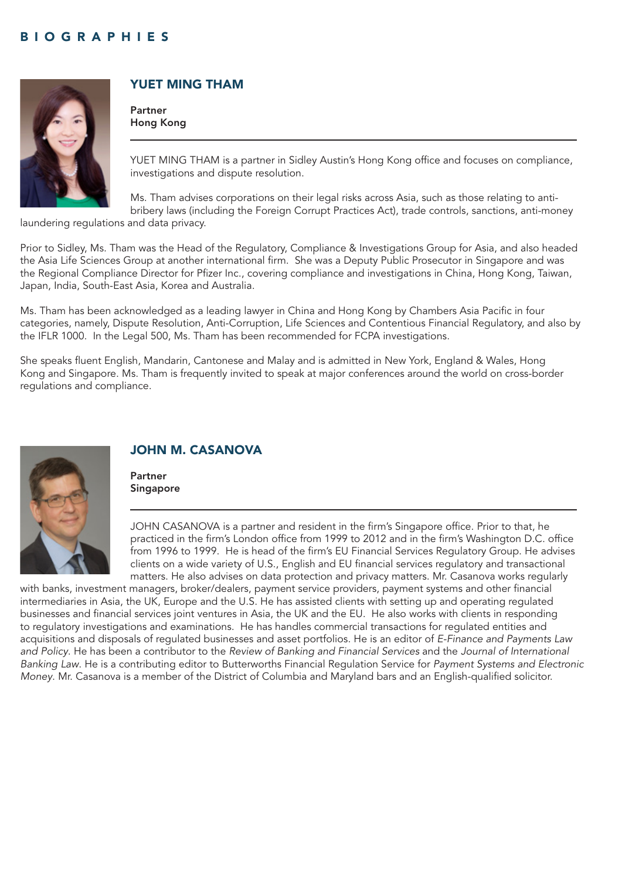

### YUET MING THAM

Partner Hong Kong

YUET MING THAM is a partner in Sidley Austin's Hong Kong office and focuses on compliance, investigations and dispute resolution.

Ms. Tham advises corporations on their legal risks across Asia, such as those relating to antibribery laws (including the Foreign Corrupt Practices Act), trade controls, sanctions, anti-money

laundering regulations and data privacy.

Prior to Sidley, Ms. Tham was the Head of the Regulatory, Compliance & Investigations Group for Asia, and also headed the Asia Life Sciences Group at another international firm. She was a Deputy Public Prosecutor in Singapore and was the Regional Compliance Director for Pfizer Inc., covering compliance and investigations in China, Hong Kong, Taiwan, Japan, India, South-East Asia, Korea and Australia.

Ms. Tham has been acknowledged as a leading lawyer in China and Hong Kong by Chambers Asia Pacific in four categories, namely, Dispute Resolution, Anti-Corruption, Life Sciences and Contentious Financial Regulatory, and also by the IFLR 1000. In the Legal 500, Ms. Tham has been recommended for FCPA investigations.

She speaks fluent English, Mandarin, Cantonese and Malay and is admitted in New York, England & Wales, Hong Kong and Singapore. Ms. Tham is frequently invited to speak at major conferences around the world on cross-border regulations and compliance.



### JOHN M. CASANOVA

Partner Singapore

JOHN CASANOVA is a partner and resident in the firm's Singapore office. Prior to that, he practiced in the firm's London office from 1999 to 2012 and in the firm's Washington D.C. office from 1996 to 1999. He is head of the firm's EU Financial Services Regulatory Group. He advises clients on a wide variety of U.S., English and EU financial services regulatory and transactional matters. He also advises on data protection and privacy matters. Mr. Casanova works regularly

with banks, investment managers, broker/dealers, payment service providers, payment systems and other financial intermediaries in Asia, the UK, Europe and the U.S. He has assisted clients with setting up and operating regulated businesses and financial services joint ventures in Asia, the UK and the EU. He also works with clients in responding to regulatory investigations and examinations. He has handles commercial transactions for regulated entities and acquisitions and disposals of regulated businesses and asset portfolios. He is an editor of *E-Finance and Payments Law and Policy*. He has been a contributor to the *Review of Banking and Financial Services* and the *Journal of International Banking Law*. He is a contributing editor to Butterworths Financial Regulation Service for *Payment Systems and Electronic Money*. Mr. Casanova is a member of the District of Columbia and Maryland bars and an English-qualified solicitor.